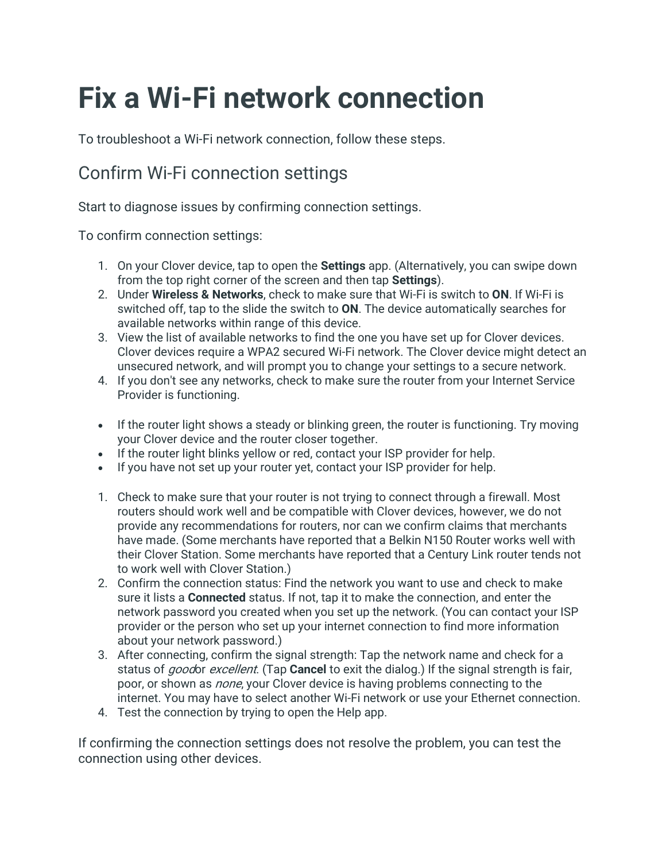# **Fix a Wi-Fi network connection**

To troubleshoot a Wi-Fi network connection, follow these steps.

## Confirm Wi-Fi connection settings

Start to diagnose issues by confirming connection settings.

To confirm connection settings:

- 1. On your Clover device, tap to open the **Settings** app. (Alternatively, you can swipe down from the top right corner of the screen and then tap **Settings**).
- 2. Under **Wireless & Networks**, check to make sure that Wi-Fi is switch to **ON**. If Wi-Fi is switched off, tap to the slide the switch to **ON**. The device automatically searches for available networks within range of this device.
- 3. View the list of available networks to find the one you have set up for Clover devices. Clover devices require a WPA2 secured Wi-Fi network. The Clover device might detect an unsecured network, and will prompt you to change your settings to a secure network.
- 4. If you don't see any networks, check to make sure the router from your Internet Service Provider is functioning.
- If the router light shows a steady or blinking green, the router is functioning. Try moving your Clover device and the router closer together.
- If the router light blinks yellow or red, contact your ISP provider for help.
- If you have not set up your router yet, contact your ISP provider for help.
- 1. Check to make sure that your router is not trying to connect through a firewall. Most routers should work well and be compatible with Clover devices, however, we do not provide any recommendations for routers, nor can we confirm claims that merchants have made. (Some merchants have reported that a Belkin N150 Router works well with their Clover Station. Some merchants have reported that a Century Link router tends not to work well with Clover Station.)
- 2. Confirm the connection status: Find the network you want to use and check to make sure it lists a **Connected** status. If not, tap it to make the connection, and enter the network password you created when you set up the network. (You can contact your ISP provider or the person who set up your internet connection to find more information about your network password.)
- 3. After connecting, confirm the signal strength: Tap the network name and check for a status of goodor excellent. (Tap **Cancel** to exit the dialog.) If the signal strength is fair, poor, or shown as *none*, your Clover device is having problems connecting to the internet. You may have to select another Wi-Fi network or use your Ethernet connection.
- 4. Test the connection by trying to open the Help app.

If confirming the connection settings does not resolve the problem, you can test the connection using other devices.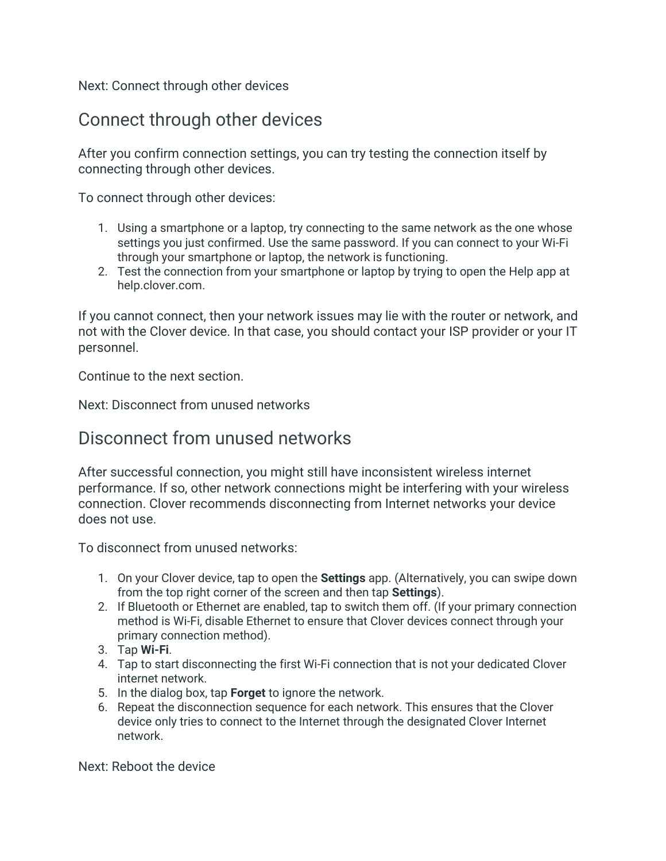Next: Connect through other devices

### Connect through other devices

After you confirm connection settings, you can try testing the connection itself by connecting through other devices.

To connect through other devices:

- 1. Using a smartphone or a laptop, try connecting to the same network as the one whose settings you just confirmed. Use the same password. If you can connect to your Wi-Fi through your smartphone or laptop, the network is functioning.
- 2. Test the connection from your smartphone or laptop by trying to open the Help app at help.clover.com.

If you cannot connect, then your network issues may lie with the router or network, and not with the Clover device. In that case, you should contact your ISP provider or your IT personnel.

Continue to the next section.

Next: Disconnect from unused networks

#### Disconnect from unused networks

After successful connection, you might still have inconsistent wireless internet performance. If so, other network connections might be interfering with your wireless connection. Clover recommends disconnecting from Internet networks your device does not use.

To disconnect from unused networks:

- 1. On your Clover device, tap to open the **Settings** app. (Alternatively, you can swipe down from the top right corner of the screen and then tap **Settings**).
- 2. If Bluetooth or Ethernet are enabled, tap to switch them off. (If your primary connection method is Wi-Fi, disable Ethernet to ensure that Clover devices connect through your primary connection method).
- 3. Tap **Wi-Fi**.
- 4. Tap to start disconnecting the first Wi-Fi connection that is not your dedicated Clover internet network.
- 5. In the dialog box, tap **Forget** to ignore the network.
- 6. Repeat the disconnection sequence for each network. This ensures that the Clover device only tries to connect to the Internet through the designated Clover Internet network.

Next: Reboot the device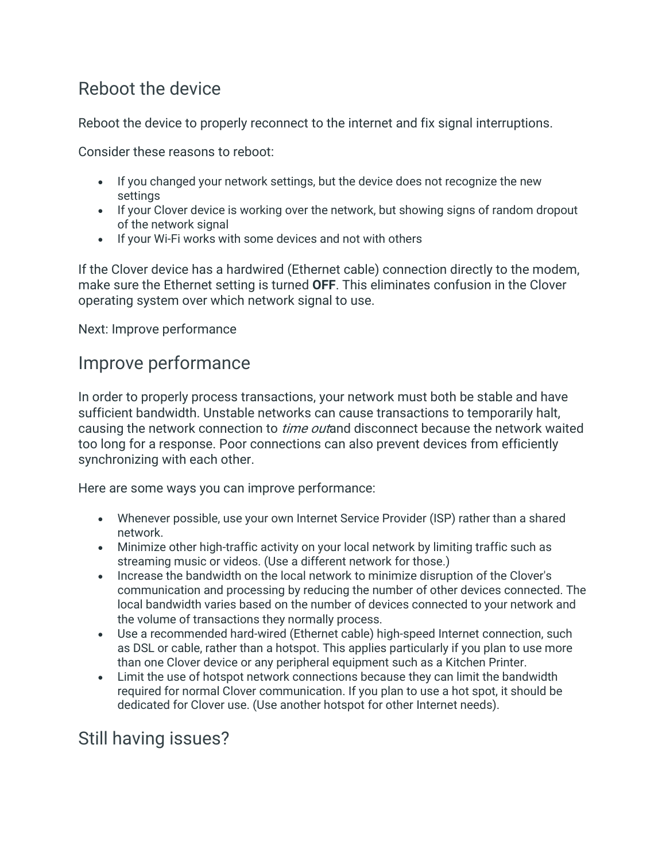## Reboot the device

Reboot the device to properly reconnect to the internet and fix signal interruptions.

Consider these reasons to reboot:

- If you changed your network settings, but the device does not recognize the new settings
- If your Clover device is working over the network, but showing signs of random dropout of the network signal
- If your Wi-Fi works with some devices and not with others

If the Clover device has a hardwired (Ethernet cable) connection directly to the modem, make sure the Ethernet setting is turned **OFF**. This eliminates confusion in the Clover operating system over which network signal to use.

Next: Improve performance

### Improve performance

In order to properly process transactions, your network must both be stable and have sufficient bandwidth. Unstable networks can cause transactions to temporarily halt, causing the network connection to *time out*and disconnect because the network waited too long for a response. Poor connections can also prevent devices from efficiently synchronizing with each other.

Here are some ways you can improve performance:

- Whenever possible, use your own Internet Service Provider (ISP) rather than a shared network.
- Minimize other high-traffic activity on your local network by limiting traffic such as streaming music or videos. (Use a different network for those.)
- Increase the bandwidth on the local network to minimize disruption of the Clover's communication and processing by reducing the number of other devices connected. The local bandwidth varies based on the number of devices connected to your network and the volume of transactions they normally process.
- Use a recommended hard-wired (Ethernet cable) high-speed Internet connection, such as DSL or cable, rather than a hotspot. This applies particularly if you plan to use more than one Clover device or any peripheral equipment such as a Kitchen Printer.
- Limit the use of hotspot network connections because they can limit the bandwidth required for normal Clover communication. If you plan to use a hot spot, it should be dedicated for Clover use. (Use another hotspot for other Internet needs).

## Still having issues?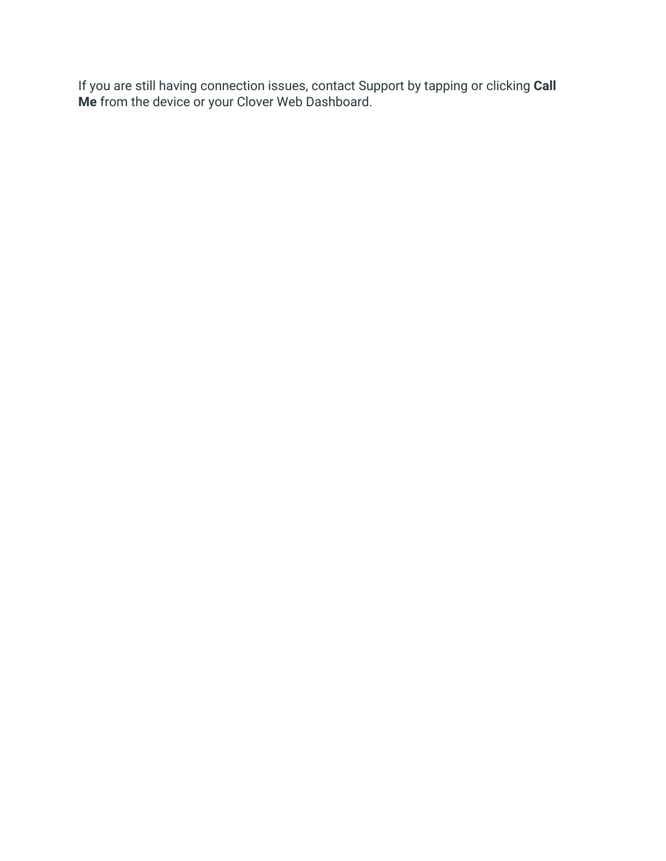If you are still having connection issues, contact Support by tapping or clicking **Call Me** from the device or your Clover Web Dashboard.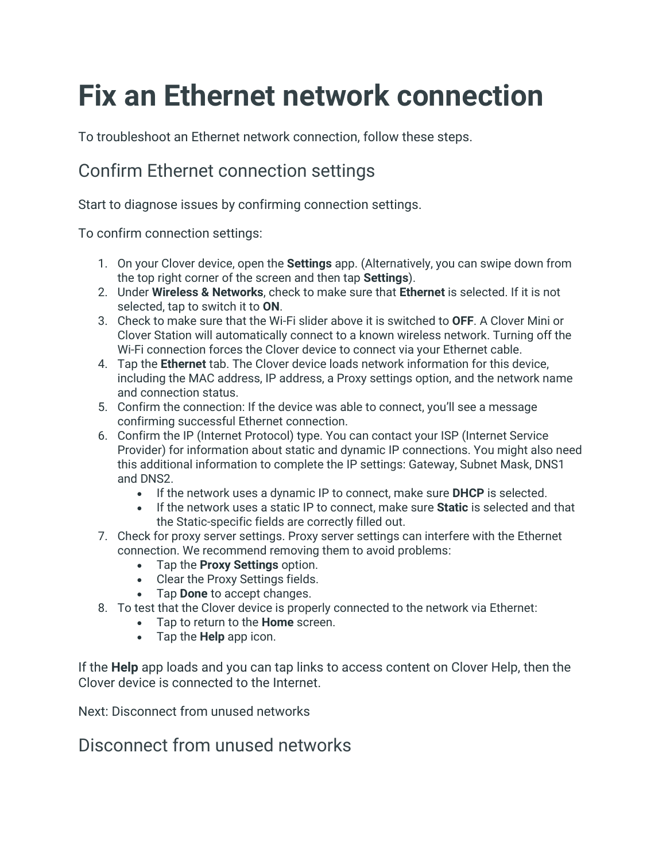# **Fix an Ethernet network connection**

To troubleshoot an Ethernet network connection, follow these steps.

## Confirm Ethernet connection settings

Start to diagnose issues by confirming connection settings.

To confirm connection settings:

- 1. On your Clover device, open the **Settings** app. (Alternatively, you can swipe down from the top right corner of the screen and then tap **Settings**).
- 2. Under **Wireless & Networks**, check to make sure that **Ethernet** is selected. If it is not selected, tap to switch it to **ON**.
- 3. Check to make sure that the Wi-Fi slider above it is switched to **OFF**. A Clover Mini or Clover Station will automatically connect to a known wireless network. Turning off the Wi-Fi connection forces the Clover device to connect via your Ethernet cable.
- 4. Tap the **Ethernet** tab. The Clover device loads network information for this device, including the MAC address, IP address, a Proxy settings option, and the network name and connection status.
- 5. Confirm the connection: If the device was able to connect, you'll see a message confirming successful Ethernet connection.
- 6. Confirm the IP (Internet Protocol) type. You can contact your ISP (Internet Service Provider) for information about static and dynamic IP connections. You might also need this additional information to complete the IP settings: Gateway, Subnet Mask, DNS1 and DNS2.
	- If the network uses a dynamic IP to connect, make sure **DHCP** is selected.
	- If the network uses a static IP to connect, make sure **Static** is selected and that the Static-specific fields are correctly filled out.
- 7. Check for proxy server settings. Proxy server settings can interfere with the Ethernet connection. We recommend removing them to avoid problems:
	- Tap the **Proxy Settings** option.
	- Clear the Proxy Settings fields.
	- Tap **Done** to accept changes.
- 8. To test that the Clover device is properly connected to the network via Ethernet:
	- Tap to return to the **Home** screen.
		- Tap the **Help** app icon.

If the **Help** app loads and you can tap links to access content on Clover Help, then the Clover device is connected to the Internet.

Next: Disconnect from unused networks

### Disconnect from unused networks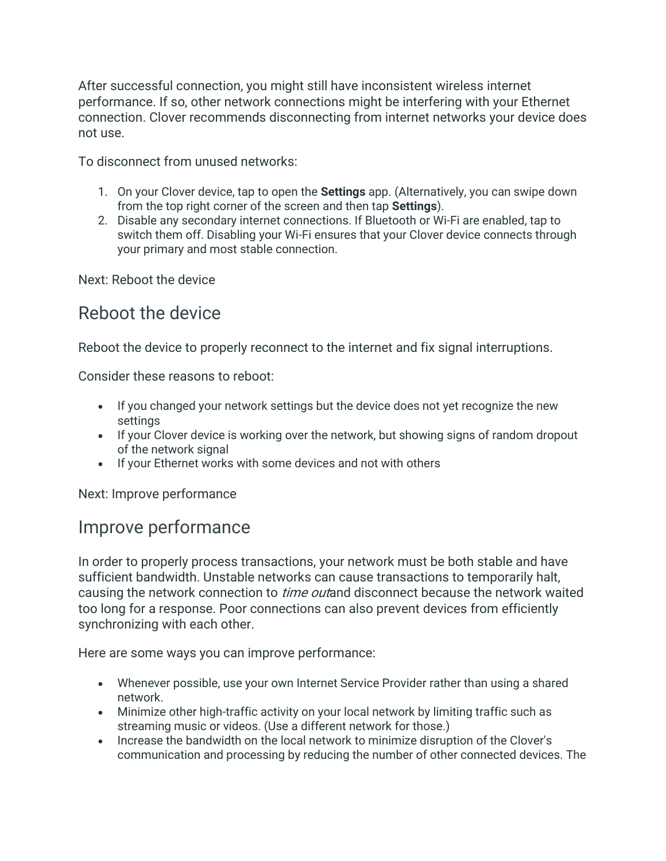After successful connection, you might still have inconsistent wireless internet performance. If so, other network connections might be interfering with your Ethernet connection. Clover recommends disconnecting from internet networks your device does not use.

To disconnect from unused networks:

- 1. On your Clover device, tap to open the **Settings** app. (Alternatively, you can swipe down from the top right corner of the screen and then tap **Settings**).
- 2. Disable any secondary internet connections. If Bluetooth or Wi-Fi are enabled, tap to switch them off. Disabling your Wi-Fi ensures that your Clover device connects through your primary and most stable connection.

Next: Reboot the device

## Reboot the device

Reboot the device to properly reconnect to the internet and fix signal interruptions.

Consider these reasons to reboot:

- If you changed your network settings but the device does not yet recognize the new settings
- If your Clover device is working over the network, but showing signs of random dropout of the network signal
- If your Ethernet works with some devices and not with others

Next: Improve performance

### Improve performance

In order to properly process transactions, your network must be both stable and have sufficient bandwidth. Unstable networks can cause transactions to temporarily halt, causing the network connection to *time out*and disconnect because the network waited too long for a response. Poor connections can also prevent devices from efficiently synchronizing with each other.

Here are some ways you can improve performance:

- Whenever possible, use your own Internet Service Provider rather than using a shared network.
- Minimize other high-traffic activity on your local network by limiting traffic such as streaming music or videos. (Use a different network for those.)
- Increase the bandwidth on the local network to minimize disruption of the Clover's communication and processing by reducing the number of other connected devices. The